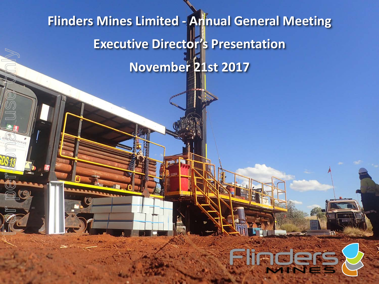# **Flinders Mines Limited - Annual General Meeting Executive Director's Presentation November 21st 2017**

For personal user

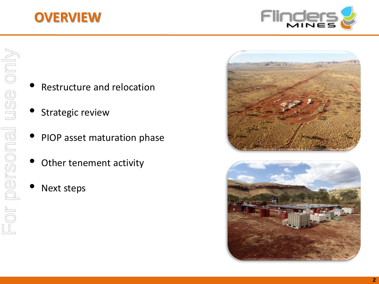### **OVERVIEW**



- Restructure and relocation
- Strategic review
- PIOP asset maturation phase
- Other tenement activity
- **Next steps**



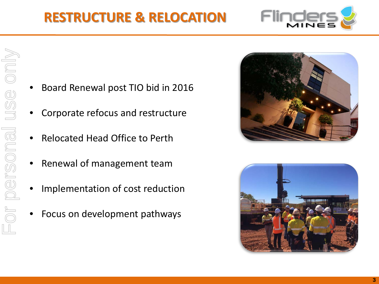## **RESTRUCTURE & RELOCATION**

- Board Renewal post TIO bid in 2016
- Corporate refocus and restructure
- Relocated Head Office to Perth
- Renewal of management team
- Implementation of cost reduction
- Focus on development pathways





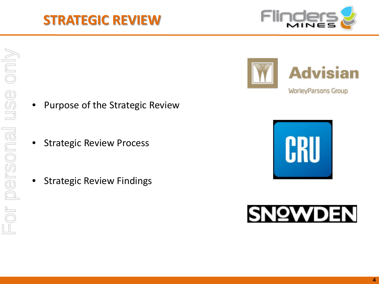# For personal use onlyFor personal use only

### **STRATEGIC REVIEW**

- Purpose of the Strategic Review
- **Strategic Review Process**
- **Strategic Review Findings**







**WorleyParsons Group** 

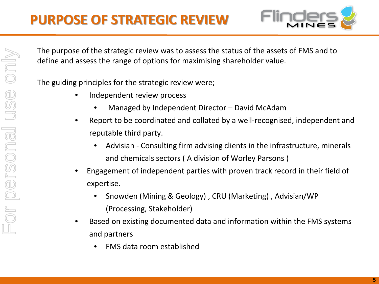

For personal use onlyor personal use only

The purpose of the strategic review was to assess the status of the assets of FMS and to define and assess the range of options for maximising shareholder value.

The guiding principles for the strategic review were;

- Independent review process
	- Managed by Independent Director David McAdam
- Report to be coordinated and collated by a well-recognised, independent and reputable third party.
	- Advisian Consulting firm advising clients in the infrastructure, minerals and chemicals sectors ( A division of Worley Parsons )
- Engagement of independent parties with proven track record in their field of expertise.
	- Snowden (Mining & Geology) , CRU (Marketing) , Advisian/WP (Processing, Stakeholder)
- Based on existing documented data and information within the FMS systems and partners
	- FMS data room established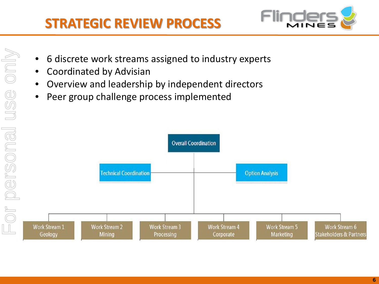

- 6 discrete work streams assigned to industry experts
- Coordinated by Advisian
- Overview and leadership by independent directors
- Peer group challenge process implemented

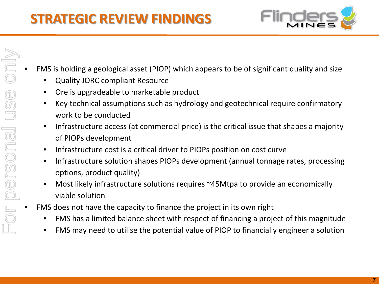

- FMS is holding a geological asset (PIOP) which appears to be of significant quality and size
	- Quality JORC compliant Resource
	- Ore is upgradeable to marketable product
	- Key technical assumptions such as hydrology and geotechnical require confirmatory work to be conducted
	- Infrastructure access (at commercial price) is the critical issue that shapes a majority of PIOPs development
	- Infrastructure cost is a critical driver to PIOPs position on cost curve
	- Infrastructure solution shapes PIOPs development (annual tonnage rates, processing options, product quality)
	- Most likely infrastructure solutions requires ~45Mtpa to provide an economically viable solution
- FMS does not have the capacity to finance the project in its own right
	- FMS has a limited balance sheet with respect of financing a project of this magnitude
	- FMS may need to utilise the potential value of PIOP to financially engineer a solution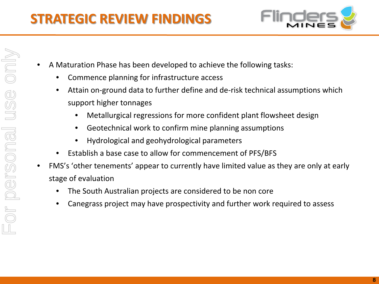

- A Maturation Phase has been developed to achieve the following tasks:
	- Commence planning for infrastructure access
	- Attain on-ground data to further define and de-risk technical assumptions which support higher tonnages
		- Metallurgical regressions for more confident plant flowsheet design
		- Geotechnical work to confirm mine planning assumptions
		- Hydrological and geohydrological parameters
	- Establish a base case to allow for commencement of PFS/BFS
- FMS's 'other tenements' appear to currently have limited value as they are only at early stage of evaluation
	- The South Australian projects are considered to be non core
	- Canegrass project may have prospectivity and further work required to assess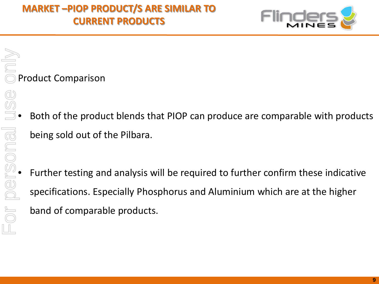

Product Comparison

- Both of the product blends that PIOP can produce are comparable with products being sold out of the Pilbara.
- Further testing and analysis will be required to further confirm these indicative<br>
Further testing and analysis will be required to further confirm these indicative<br>
specifications. Especially Phosphorus and Aluminiu specifications. Especially Phosphorus and Aluminium which are at the higher band of comparable products.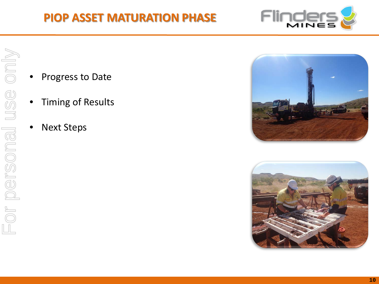

- Progress to Date
- Timing of Results
- **Next Steps**



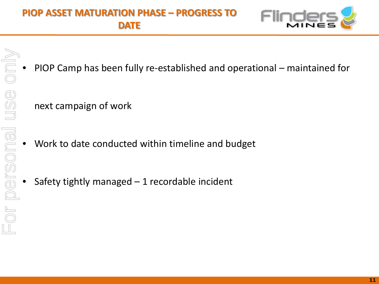### **PIOP ASSET MATURATION PHASE – PROGRESS TO DATE**



- For personal use only $\frac{1}{\sqrt{2}}$  $\bar{\overline{\odot}}$ USS. or personal
- PIOP Camp has been fully re-established and operational maintained for

next campaign of work

- Work to date conducted within timeline and budget
- Safety tightly managed  $-1$  recordable incident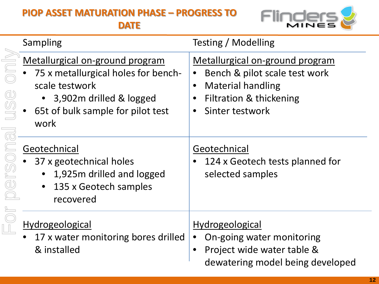### **PIOP ASSET MATURATION PHASE – PROGRESS TO**

**DATE**



|                                           | Sampling                                                                                                                                                         | Testing / Modelling                                                                                                                                   |
|-------------------------------------------|------------------------------------------------------------------------------------------------------------------------------------------------------------------|-------------------------------------------------------------------------------------------------------------------------------------------------------|
| USS ON<br>$\overline{\text{c}}$<br>Derson | Metallurgical on-ground program<br>75 x metallurgical holes for bench-<br>scale testwork<br>3,902m drilled & logged<br>65t of bulk sample for pilot test<br>work | Metallurgical on-ground program<br>Bench & pilot scale test work<br><b>Material handling</b><br><b>Filtration &amp; thickening</b><br>Sinter testwork |
|                                           | Geotechnical<br>37 x geotechnical holes<br>1,925m drilled and logged<br>135 x Geotech samples<br>recovered                                                       | Geotechnical<br>124 x Geotech tests planned for<br>selected samples                                                                                   |
|                                           | Hydrogeological<br>17 x water monitoring bores drilled<br>& installed                                                                                            | <b>Hydrogeological</b><br>On-going water monitoring<br>Project wide water table &<br>dewatering model being developed                                 |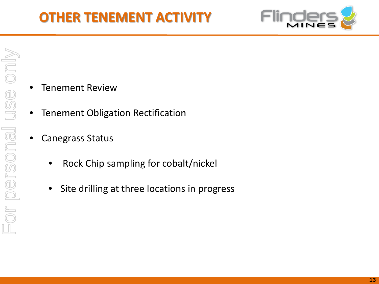### **OTHER TENEMENT ACTIVITY**



- **Tenement Review**
- Tenement Obligation Rectification
- Canegrass Status
	- Rock Chip sampling for cobalt/nickel
	- Site drilling at three locations in progress